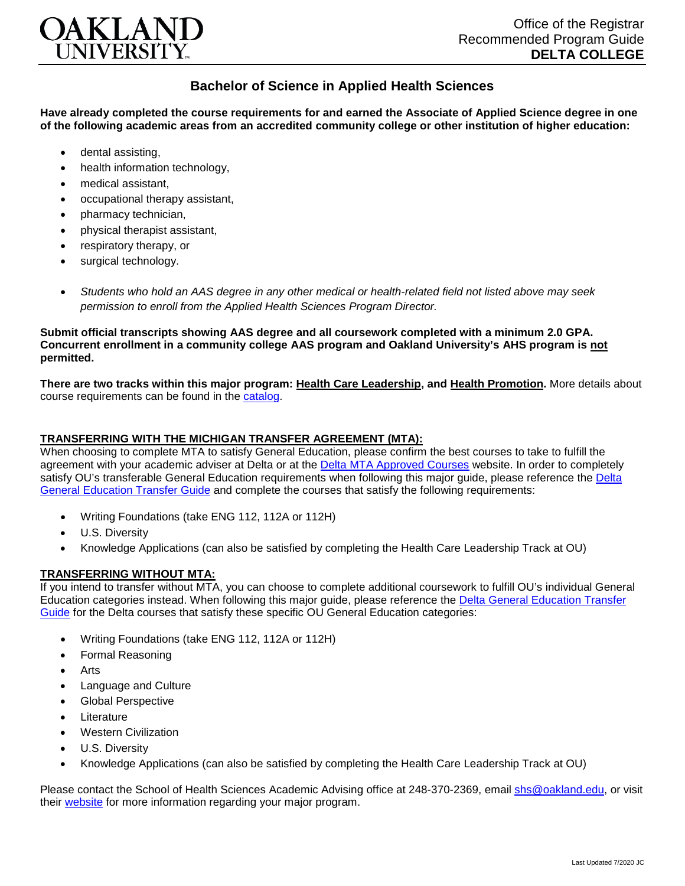

## **Bachelor of Science in Applied Health Sciences**

**Have already completed the course requirements for and earned the Associate of Applied Science degree in one of the following academic areas from an accredited community college or other institution of higher education:**

- dental assisting,
- health information technology.
- medical assistant,
- occupational therapy assistant,
- pharmacy technician,
- physical therapist assistant,
- respiratory therapy, or
- surgical technology.
- *Students who hold an AAS degree in any other medical or health-related field not listed above may seek permission to enroll from the Applied Health Sciences Program Director.*

**Submit official transcripts showing AAS degree and all coursework completed with a minimum 2.0 GPA. Concurrent enrollment in a community college AAS program and Oakland University's AHS program is not permitted.**

**There are two tracks within this major program: Health Care Leadership, and Health Promotion.** More details about course requirements can be found in the [catalog.](http://catalog.oakland.edu/preview_program.php?catoid=49&poid=8362)

## **TRANSFERRING WITH THE MICHIGAN TRANSFER AGREEMENT (MTA):**

When choosing to complete MTA to satisfy General Education, please confirm the best courses to take to fulfill the agreement with your academic adviser at Delta or at the [Delta MTA Approved Courses](http://catalog.delta.edu/content.php?catoid=10&navoid=1320) website. In order to completely satisfy OU's transferable General Education requirements when following this major guide, please reference the Delta [General Education Transfer Guide](https://www.oakland.edu/Assets/Oakland/program-guides/delta-college/university-general-education-requirements/Delta%20Gen%20Ed.pdf) and complete the courses that satisfy the following requirements:

- Writing Foundations (take ENG 112, 112A or 112H)
- U.S. Diversitv
- Knowledge Applications (can also be satisfied by completing the Health Care Leadership Track at OU)

## **TRANSFERRING WITHOUT MTA:**

If you intend to transfer without MTA, you can choose to complete additional coursework to fulfill OU's individual General Education categories instead. When following this major guide, please reference the [Delta General Education Transfer](https://www.oakland.edu/Assets/Oakland/program-guides/delta-college/university-general-education-requirements/Delta%20Gen%20Ed.pdf)  [Guide](https://www.oakland.edu/Assets/Oakland/program-guides/delta-college/university-general-education-requirements/Delta%20Gen%20Ed.pdf) for the Delta courses that satisfy these specific OU General Education categories:

- Writing Foundations (take ENG 112, 112A or 112H)
- Formal Reasoning
- **Arts**
- Language and Culture
- Global Perspective
- **Literature**
- Western Civilization
- U.S. Diversity
- Knowledge Applications (can also be satisfied by completing the Health Care Leadership Track at OU)

Please contact the School of Health Sciences Academic Advising office at 248-370-2369, email [shs@oakland.edu,](mailto:shs@oakland.edu) or visit their [website](http://www.oakland.edu/shs/advising) for more information regarding your major program.